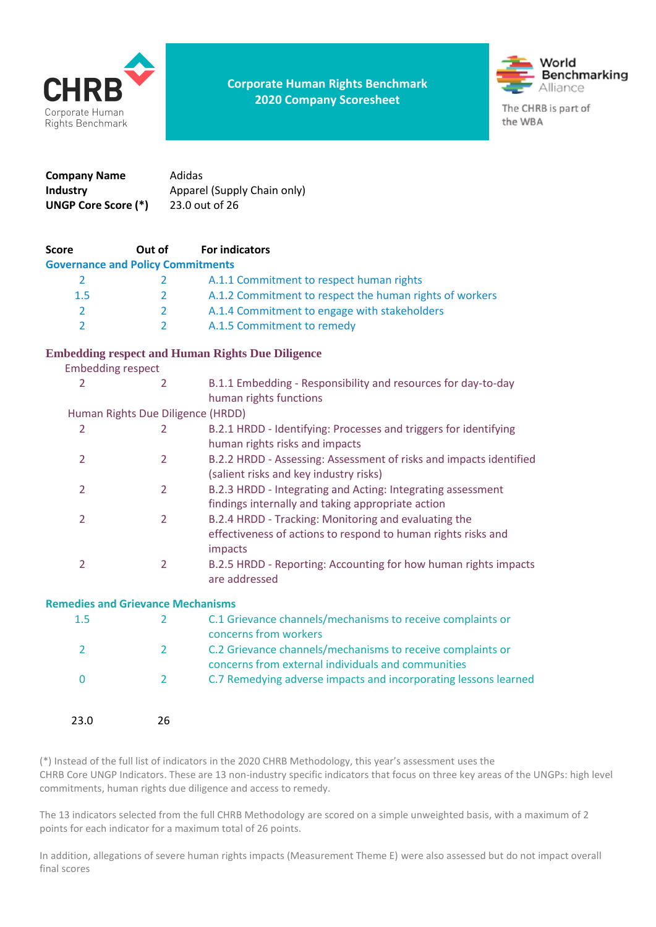

**Corporate Human Rights Benchmark 2020 Company Scoresheet**



| Company Name               | Adidas                      |
|----------------------------|-----------------------------|
| <b>Industry</b>            | Apparel (Supply Chain only) |
| <b>UNGP Core Score (*)</b> | 23.0 out of 26              |

| <b>Score</b>                             | Out of         | <b>For indicators</b>                                                                                            |
|------------------------------------------|----------------|------------------------------------------------------------------------------------------------------------------|
| <b>Governance and Policy Commitments</b> |                |                                                                                                                  |
| $\overline{2}$                           | 2              | A.1.1 Commitment to respect human rights                                                                         |
| 1.5                                      | 2              | A.1.2 Commitment to respect the human rights of workers                                                          |
| $\overline{2}$                           | 2              | A.1.4 Commitment to engage with stakeholders                                                                     |
| $\overline{2}$                           | $\overline{2}$ | A.1.5 Commitment to remedy                                                                                       |
|                                          |                | <b>Embedding respect and Human Rights Due Diligence</b>                                                          |
| <b>Embedding respect</b>                 |                |                                                                                                                  |
| $\overline{2}$                           | $\overline{2}$ | B.1.1 Embedding - Responsibility and resources for day-to-day                                                    |
|                                          |                | human rights functions                                                                                           |
| Human Rights Due Diligence (HRDD)        |                |                                                                                                                  |
| $\overline{2}$                           | $\overline{2}$ | B.2.1 HRDD - Identifying: Processes and triggers for identifying                                                 |
|                                          |                | human rights risks and impacts                                                                                   |
| $\overline{2}$                           | $\overline{2}$ | B.2.2 HRDD - Assessing: Assessment of risks and impacts identified                                               |
|                                          |                | (salient risks and key industry risks)                                                                           |
| $\overline{2}$                           | $\overline{2}$ | B.2.3 HRDD - Integrating and Acting: Integrating assessment                                                      |
|                                          |                | findings internally and taking appropriate action                                                                |
| $\overline{2}$                           | $\overline{2}$ | B.2.4 HRDD - Tracking: Monitoring and evaluating the                                                             |
|                                          |                | effectiveness of actions to respond to human rights risks and                                                    |
|                                          |                | impacts                                                                                                          |
| $\overline{2}$                           | $\overline{2}$ | B.2.5 HRDD - Reporting: Accounting for how human rights impacts                                                  |
|                                          |                | are addressed                                                                                                    |
| <b>Remedies and Grievance Mechanisms</b> |                |                                                                                                                  |
| 1.5                                      | $\overline{2}$ | C.1 Grievance channels/mechanisms to receive complaints or<br>concerns from workers                              |
| $\overline{2}$                           | $\overline{2}$ | C.2 Grievance channels/mechanisms to receive complaints or<br>concerns from external individuals and communities |
| 0                                        | $\overline{2}$ | C.7 Remedying adverse impacts and incorporating lessons learned                                                  |

| 23.0 | 26 |
|------|----|

(\*) Instead of the full list of indicators in the 2020 CHRB Methodology, this year's assessment uses the CHRB Core UNGP Indicators. These are 13 non-industry specific indicators that focus on three key areas of the UNGPs: high level commitments, human rights due diligence and access to remedy.

The 13 indicators selected from the full CHRB Methodology are scored on a simple unweighted basis, with a maximum of 2 points for each indicator for a maximum total of 26 points.

In addition, allegations of severe human rights impacts (Measurement Theme E) were also assessed but do not impact overall final scores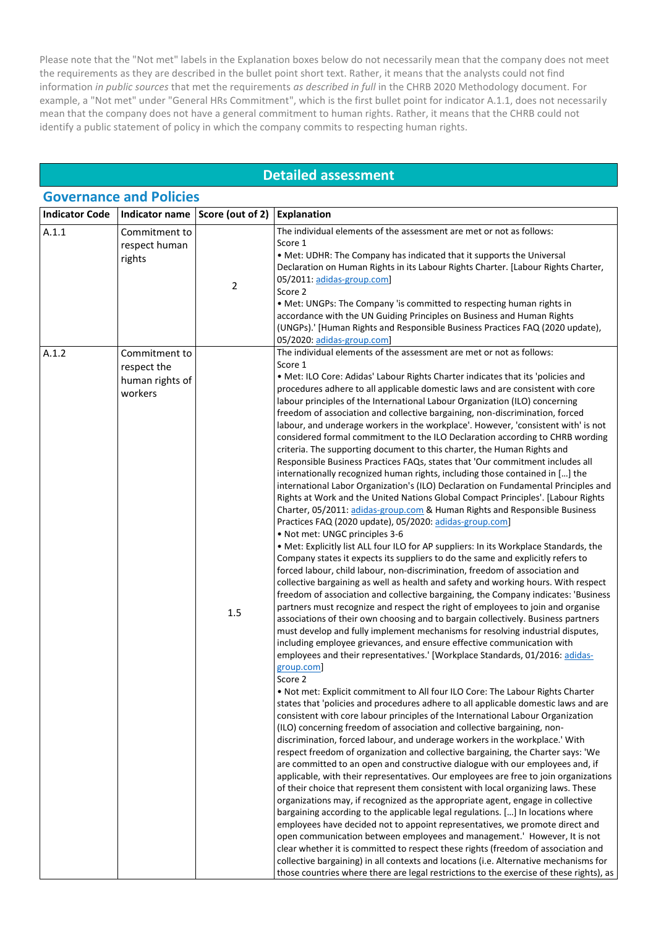Please note that the "Not met" labels in the Explanation boxes below do not necessarily mean that the company does not meet the requirements as they are described in the bullet point short text. Rather, it means that the analysts could not find information *in public sources* that met the requirements *as described in full* in the CHRB 2020 Methodology document. For example, a "Not met" under "General HRs Commitment", which is the first bullet point for indicator A.1.1, does not necessarily mean that the company does not have a general commitment to human rights. Rather, it means that the CHRB could not identify a public statement of policy in which the company commits to respecting human rights.

### **Detailed assessment**

| <b>Governance and Policies</b> |                                                            |                  |                                                                                                                                                                                                                                                                                                                                                                                                                                                                                                                                                                                                                                                                                                                                                                                                                                                                                                                                                                                                                                                                                                                                                                                                                                                                                                                                                                                                                                                                                                                                                                                                                                                                                                                                                                                                                                                                                                                                                                                                                                                                                                                                                                                                                                                                                                                                                                                                                                                                                                                                                                                                                                                                                                                                                                                                                                                                                                                                                                                                                                                                                                                                                                                                                                                                                                                                                                       |
|--------------------------------|------------------------------------------------------------|------------------|-----------------------------------------------------------------------------------------------------------------------------------------------------------------------------------------------------------------------------------------------------------------------------------------------------------------------------------------------------------------------------------------------------------------------------------------------------------------------------------------------------------------------------------------------------------------------------------------------------------------------------------------------------------------------------------------------------------------------------------------------------------------------------------------------------------------------------------------------------------------------------------------------------------------------------------------------------------------------------------------------------------------------------------------------------------------------------------------------------------------------------------------------------------------------------------------------------------------------------------------------------------------------------------------------------------------------------------------------------------------------------------------------------------------------------------------------------------------------------------------------------------------------------------------------------------------------------------------------------------------------------------------------------------------------------------------------------------------------------------------------------------------------------------------------------------------------------------------------------------------------------------------------------------------------------------------------------------------------------------------------------------------------------------------------------------------------------------------------------------------------------------------------------------------------------------------------------------------------------------------------------------------------------------------------------------------------------------------------------------------------------------------------------------------------------------------------------------------------------------------------------------------------------------------------------------------------------------------------------------------------------------------------------------------------------------------------------------------------------------------------------------------------------------------------------------------------------------------------------------------------------------------------------------------------------------------------------------------------------------------------------------------------------------------------------------------------------------------------------------------------------------------------------------------------------------------------------------------------------------------------------------------------------------------------------------------------------------------------------------------------|
| <b>Indicator Code</b>          | Indicator name                                             | Score (out of 2) | <b>Explanation</b>                                                                                                                                                                                                                                                                                                                                                                                                                                                                                                                                                                                                                                                                                                                                                                                                                                                                                                                                                                                                                                                                                                                                                                                                                                                                                                                                                                                                                                                                                                                                                                                                                                                                                                                                                                                                                                                                                                                                                                                                                                                                                                                                                                                                                                                                                                                                                                                                                                                                                                                                                                                                                                                                                                                                                                                                                                                                                                                                                                                                                                                                                                                                                                                                                                                                                                                                                    |
| A.1.1                          | Commitment to<br>respect human<br>rights                   | $\overline{2}$   | The individual elements of the assessment are met or not as follows:<br>Score 1<br>• Met: UDHR: The Company has indicated that it supports the Universal<br>Declaration on Human Rights in its Labour Rights Charter. [Labour Rights Charter,<br>05/2011: adidas-group.com]<br>Score 2<br>• Met: UNGPs: The Company 'is committed to respecting human rights in<br>accordance with the UN Guiding Principles on Business and Human Rights<br>(UNGPs).' [Human Rights and Responsible Business Practices FAQ (2020 update),<br>05/2020: adidas-group.com]                                                                                                                                                                                                                                                                                                                                                                                                                                                                                                                                                                                                                                                                                                                                                                                                                                                                                                                                                                                                                                                                                                                                                                                                                                                                                                                                                                                                                                                                                                                                                                                                                                                                                                                                                                                                                                                                                                                                                                                                                                                                                                                                                                                                                                                                                                                                                                                                                                                                                                                                                                                                                                                                                                                                                                                                              |
| A.1.2                          | Commitment to<br>respect the<br>human rights of<br>workers | 1.5              | The individual elements of the assessment are met or not as follows:<br>Score 1<br>. Met: ILO Core: Adidas' Labour Rights Charter indicates that its 'policies and<br>procedures adhere to all applicable domestic laws and are consistent with core<br>labour principles of the International Labour Organization (ILO) concerning<br>freedom of association and collective bargaining, non-discrimination, forced<br>labour, and underage workers in the workplace'. However, 'consistent with' is not<br>considered formal commitment to the ILO Declaration according to CHRB wording<br>criteria. The supporting document to this charter, the Human Rights and<br>Responsible Business Practices FAQs, states that 'Our commitment includes all<br>internationally recognized human rights, including those contained in [] the<br>international Labor Organization's (ILO) Declaration on Fundamental Principles and<br>Rights at Work and the United Nations Global Compact Principles'. [Labour Rights<br>Charter, 05/2011: adidas-group.com & Human Rights and Responsible Business<br>Practices FAQ (2020 update), 05/2020: adidas-group.com]<br>• Not met: UNGC principles 3-6<br>. Met: Explicitly list ALL four ILO for AP suppliers: In its Workplace Standards, the<br>Company states it expects its suppliers to do the same and explicitly refers to<br>forced labour, child labour, non-discrimination, freedom of association and<br>collective bargaining as well as health and safety and working hours. With respect<br>freedom of association and collective bargaining, the Company indicates: 'Business<br>partners must recognize and respect the right of employees to join and organise<br>associations of their own choosing and to bargain collectively. Business partners<br>must develop and fully implement mechanisms for resolving industrial disputes,<br>including employee grievances, and ensure effective communication with<br>employees and their representatives.' [Workplace Standards, 01/2016: adidas-<br>group.com]<br>Score 2<br>. Not met: Explicit commitment to All four ILO Core: The Labour Rights Charter<br>states that 'policies and procedures adhere to all applicable domestic laws and are<br>consistent with core labour principles of the International Labour Organization<br>(ILO) concerning freedom of association and collective bargaining, non-<br>discrimination, forced labour, and underage workers in the workplace.' With<br>respect freedom of organization and collective bargaining, the Charter says: 'We<br>are committed to an open and constructive dialogue with our employees and, if<br>applicable, with their representatives. Our employees are free to join organizations<br>of their choice that represent them consistent with local organizing laws. These<br>organizations may, if recognized as the appropriate agent, engage in collective<br>bargaining according to the applicable legal regulations. [] In locations where<br>employees have decided not to appoint representatives, we promote direct and<br>open communication between employees and management.' However, It is not<br>clear whether it is committed to respect these rights (freedom of association and<br>collective bargaining) in all contexts and locations (i.e. Alternative mechanisms for |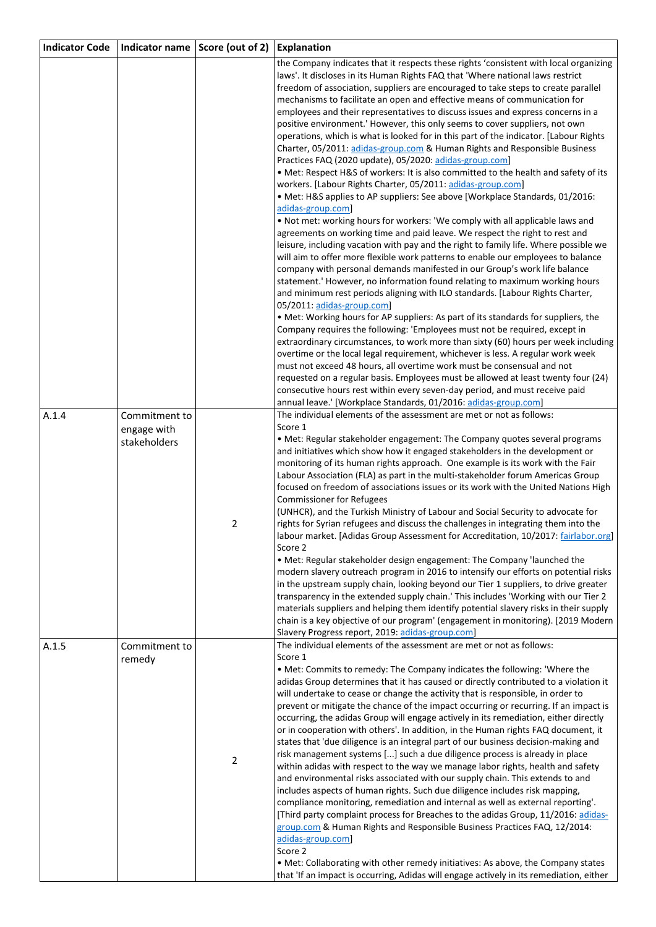| <b>Indicator Code</b> | Indicator name                               | Score (out of 2) | <b>Explanation</b>                                                                                                                                                                                                                                                                                                                                                                                                                                                                                                                                                                                                                                                                                                                                                                                                                                                                                                                                                                                                                                                                                                                                                                                                                                                                                                                                                                                                                                                                                                                                                                                                                                                                                                                                                                                                                                                                        |
|-----------------------|----------------------------------------------|------------------|-------------------------------------------------------------------------------------------------------------------------------------------------------------------------------------------------------------------------------------------------------------------------------------------------------------------------------------------------------------------------------------------------------------------------------------------------------------------------------------------------------------------------------------------------------------------------------------------------------------------------------------------------------------------------------------------------------------------------------------------------------------------------------------------------------------------------------------------------------------------------------------------------------------------------------------------------------------------------------------------------------------------------------------------------------------------------------------------------------------------------------------------------------------------------------------------------------------------------------------------------------------------------------------------------------------------------------------------------------------------------------------------------------------------------------------------------------------------------------------------------------------------------------------------------------------------------------------------------------------------------------------------------------------------------------------------------------------------------------------------------------------------------------------------------------------------------------------------------------------------------------------------|
|                       |                                              |                  | the Company indicates that it respects these rights 'consistent with local organizing<br>laws'. It discloses in its Human Rights FAQ that 'Where national laws restrict<br>freedom of association, suppliers are encouraged to take steps to create parallel<br>mechanisms to facilitate an open and effective means of communication for<br>employees and their representatives to discuss issues and express concerns in a<br>positive environment.' However, this only seems to cover suppliers, not own<br>operations, which is what is looked for in this part of the indicator. [Labour Rights<br>Charter, 05/2011: adidas-group.com & Human Rights and Responsible Business<br>Practices FAQ (2020 update), 05/2020: adidas-group.com]<br>• Met: Respect H&S of workers: It is also committed to the health and safety of its<br>workers. [Labour Rights Charter, 05/2011: adidas-group.com]<br>• Met: H&S applies to AP suppliers: See above [Workplace Standards, 01/2016:<br>adidas-group.com]<br>. Not met: working hours for workers: 'We comply with all applicable laws and<br>agreements on working time and paid leave. We respect the right to rest and<br>leisure, including vacation with pay and the right to family life. Where possible we<br>will aim to offer more flexible work patterns to enable our employees to balance<br>company with personal demands manifested in our Group's work life balance<br>statement.' However, no information found relating to maximum working hours<br>and minimum rest periods aligning with ILO standards. [Labour Rights Charter,<br>05/2011: adidas-group.com]<br>• Met: Working hours for AP suppliers: As part of its standards for suppliers, the<br>Company requires the following: 'Employees must not be required, except in<br>extraordinary circumstances, to work more than sixty (60) hours per week including |
|                       |                                              |                  | overtime or the local legal requirement, whichever is less. A regular work week<br>must not exceed 48 hours, all overtime work must be consensual and not<br>requested on a regular basis. Employees must be allowed at least twenty four (24)<br>consecutive hours rest within every seven-day period, and must receive paid<br>annual leave.' [Workplace Standards, 01/2016: adidas-group.com]                                                                                                                                                                                                                                                                                                                                                                                                                                                                                                                                                                                                                                                                                                                                                                                                                                                                                                                                                                                                                                                                                                                                                                                                                                                                                                                                                                                                                                                                                          |
| A.1.4                 | Commitment to<br>engage with<br>stakeholders | $\overline{2}$   | The individual elements of the assessment are met or not as follows:<br>Score 1<br>• Met: Regular stakeholder engagement: The Company quotes several programs<br>and initiatives which show how it engaged stakeholders in the development or<br>monitoring of its human rights approach. One example is its work with the Fair<br>Labour Association (FLA) as part in the multi-stakeholder forum Americas Group<br>focused on freedom of associations issues or its work with the United Nations High<br><b>Commissioner for Refugees</b><br>(UNHCR), and the Turkish Ministry of Labour and Social Security to advocate for<br>rights for Syrian refugees and discuss the challenges in integrating them into the<br>labour market. Adidas Group Assessment for Accreditation, 10/2017: fairlabor.org<br>Score 2<br>. Met: Regular stakeholder design engagement: The Company 'launched the<br>modern slavery outreach program in 2016 to intensify our efforts on potential risks<br>in the upstream supply chain, looking beyond our Tier 1 suppliers, to drive greater<br>transparency in the extended supply chain.' This includes 'Working with our Tier 2<br>materials suppliers and helping them identify potential slavery risks in their supply<br>chain is a key objective of our program' (engagement in monitoring). [2019 Modern<br>Slavery Progress report, 2019: adidas-group.com]                                                                                                                                                                                                                                                                                                                                                                                                                                                                                      |
| A.1.5                 | Commitment to<br>remedy                      | $\overline{2}$   | The individual elements of the assessment are met or not as follows:<br>Score 1<br>. Met: Commits to remedy: The Company indicates the following: 'Where the<br>adidas Group determines that it has caused or directly contributed to a violation it<br>will undertake to cease or change the activity that is responsible, in order to<br>prevent or mitigate the chance of the impact occurring or recurring. If an impact is<br>occurring, the adidas Group will engage actively in its remediation, either directly<br>or in cooperation with others'. In addition, in the Human rights FAQ document, it<br>states that 'due diligence is an integral part of our business decision-making and<br>risk management systems [] such a due diligence process is already in place<br>within adidas with respect to the way we manage labor rights, health and safety<br>and environmental risks associated with our supply chain. This extends to and<br>includes aspects of human rights. Such due diligence includes risk mapping,<br>compliance monitoring, remediation and internal as well as external reporting'.<br>[Third party complaint process for Breaches to the adidas Group, 11/2016: adidas-<br>group.com & Human Rights and Responsible Business Practices FAQ, 12/2014:<br>adidas-group.com]<br>Score 2<br>. Met: Collaborating with other remedy initiatives: As above, the Company states<br>that 'If an impact is occurring, Adidas will engage actively in its remediation, either                                                                                                                                                                                                                                                                                                                                                                                  |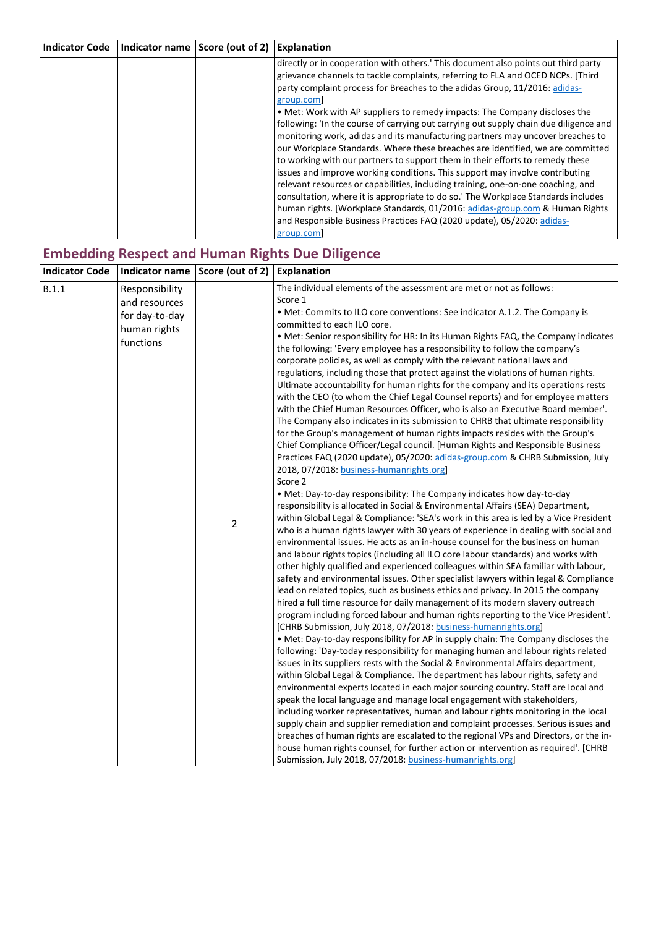| <b>Indicator Code</b> | Indicator name Score (out of 2) Explanation |                                                                                                                                                                                                                                                                                                                                                                                                                                                                                                                                                                                                                                                                                   |
|-----------------------|---------------------------------------------|-----------------------------------------------------------------------------------------------------------------------------------------------------------------------------------------------------------------------------------------------------------------------------------------------------------------------------------------------------------------------------------------------------------------------------------------------------------------------------------------------------------------------------------------------------------------------------------------------------------------------------------------------------------------------------------|
|                       |                                             | directly or in cooperation with others. This document also points out third party<br>grievance channels to tackle complaints, referring to FLA and OCED NCPs. [Third]<br>party complaint process for Breaches to the adidas Group, 11/2016: adidas-<br>group.com<br>• Met: Work with AP suppliers to remedy impacts: The Company discloses the<br>following: 'In the course of carrying out carrying out supply chain due diligence and                                                                                                                                                                                                                                           |
|                       |                                             | monitoring work, adidas and its manufacturing partners may uncover breaches to<br>our Workplace Standards. Where these breaches are identified, we are committed<br>to working with our partners to support them in their efforts to remedy these<br>issues and improve working conditions. This support may involve contributing<br>relevant resources or capabilities, including training, one-on-one coaching, and<br>consultation, where it is appropriate to do so.' The Workplace Standards includes<br>human rights. [Workplace Standards, 01/2016: adidas-group.com & Human Rights<br>and Responsible Business Practices FAQ (2020 update), 05/2020: adidas-<br>group.com |

# **Embedding Respect and Human Rights Due Diligence**

| <b>Indicator Code</b> | Indicator name                                                                 | Score (out of 2)                                                                                                                                                                                                                                                                                                                                                                                                                                                                                                                                                                                                                                                                                                                                                                                                                                 | Explanation                                                                                                                                                                                                                                                                                                                                                                                                                                                                                  |
|-----------------------|--------------------------------------------------------------------------------|--------------------------------------------------------------------------------------------------------------------------------------------------------------------------------------------------------------------------------------------------------------------------------------------------------------------------------------------------------------------------------------------------------------------------------------------------------------------------------------------------------------------------------------------------------------------------------------------------------------------------------------------------------------------------------------------------------------------------------------------------------------------------------------------------------------------------------------------------|----------------------------------------------------------------------------------------------------------------------------------------------------------------------------------------------------------------------------------------------------------------------------------------------------------------------------------------------------------------------------------------------------------------------------------------------------------------------------------------------|
| B.1.1                 | Responsibility<br>and resources<br>for day-to-day<br>human rights<br>functions |                                                                                                                                                                                                                                                                                                                                                                                                                                                                                                                                                                                                                                                                                                                                                                                                                                                  | The individual elements of the assessment are met or not as follows:<br>Score 1<br>. Met: Commits to ILO core conventions: See indicator A.1.2. The Company is<br>committed to each ILO core.<br>• Met: Senior responsibility for HR: In its Human Rights FAQ, the Company indicates                                                                                                                                                                                                         |
|                       |                                                                                | the following: 'Every employee has a responsibility to follow the company's<br>corporate policies, as well as comply with the relevant national laws and<br>regulations, including those that protect against the violations of human rights.<br>Ultimate accountability for human rights for the company and its operations rests<br>with the CEO (to whom the Chief Legal Counsel reports) and for employee matters<br>with the Chief Human Resources Officer, who is also an Executive Board member'.<br>The Company also indicates in its submission to CHRB that ultimate responsibility<br>for the Group's management of human rights impacts resides with the Group's<br>Chief Compliance Officer/Legal council. [Human Rights and Responsible Business<br>Practices FAQ (2020 update), 05/2020: adidas-group.com & CHRB Submission, July |                                                                                                                                                                                                                                                                                                                                                                                                                                                                                              |
|                       |                                                                                |                                                                                                                                                                                                                                                                                                                                                                                                                                                                                                                                                                                                                                                                                                                                                                                                                                                  | 2018, 07/2018: business-humanrights.org]<br>Score 2<br>• Met: Day-to-day responsibility: The Company indicates how day-to-day                                                                                                                                                                                                                                                                                                                                                                |
|                       | $\overline{2}$                                                                 | responsibility is allocated in Social & Environmental Affairs (SEA) Department,<br>within Global Legal & Compliance: 'SEA's work in this area is led by a Vice President<br>who is a human rights lawyer with 30 years of experience in dealing with social and<br>environmental issues. He acts as an in-house counsel for the business on human<br>and labour rights topics (including all ILO core labour standards) and works with<br>other highly qualified and experienced colleagues within SEA familiar with labour,                                                                                                                                                                                                                                                                                                                     |                                                                                                                                                                                                                                                                                                                                                                                                                                                                                              |
|                       |                                                                                | safety and environmental issues. Other specialist lawyers within legal & Compliance<br>lead on related topics, such as business ethics and privacy. In 2015 the company<br>hired a full time resource for daily management of its modern slavery outreach<br>program including forced labour and human rights reporting to the Vice President'.<br>[CHRB Submission, July 2018, 07/2018: business-humanrights.org]                                                                                                                                                                                                                                                                                                                                                                                                                               |                                                                                                                                                                                                                                                                                                                                                                                                                                                                                              |
|                       |                                                                                | • Met: Day-to-day responsibility for AP in supply chain: The Company discloses the<br>following: 'Day-today responsibility for managing human and labour rights related<br>issues in its suppliers rests with the Social & Environmental Affairs department,<br>within Global Legal & Compliance. The department has labour rights, safety and<br>environmental experts located in each major sourcing country. Staff are local and                                                                                                                                                                                                                                                                                                                                                                                                              |                                                                                                                                                                                                                                                                                                                                                                                                                                                                                              |
|                       |                                                                                |                                                                                                                                                                                                                                                                                                                                                                                                                                                                                                                                                                                                                                                                                                                                                                                                                                                  | speak the local language and manage local engagement with stakeholders,<br>including worker representatives, human and labour rights monitoring in the local<br>supply chain and supplier remediation and complaint processes. Serious issues and<br>breaches of human rights are escalated to the regional VPs and Directors, or the in-<br>house human rights counsel, for further action or intervention as required'. [CHRB<br>Submission, July 2018, 07/2018: business-humanrights.org] |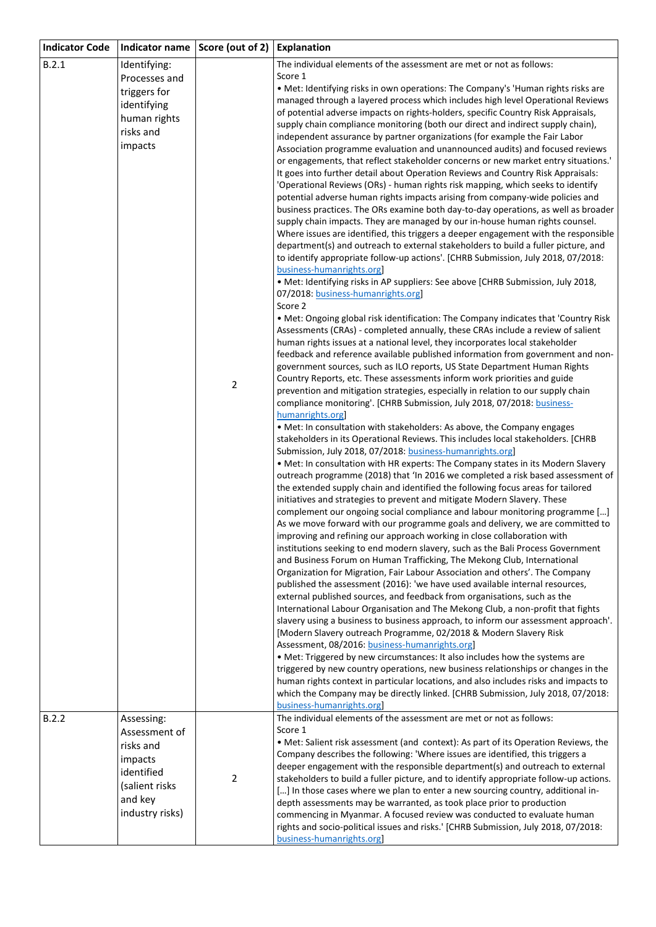| <b>Indicator Code</b> |                                                                                                                   | Indicator name   Score (out of 2)   Explanation |                                                                                                                                                                                                                                                                                                                                                                                                                                                                                                                                                                                                                                                                                                                                                                                                                                                                                                                                                      |
|-----------------------|-------------------------------------------------------------------------------------------------------------------|-------------------------------------------------|------------------------------------------------------------------------------------------------------------------------------------------------------------------------------------------------------------------------------------------------------------------------------------------------------------------------------------------------------------------------------------------------------------------------------------------------------------------------------------------------------------------------------------------------------------------------------------------------------------------------------------------------------------------------------------------------------------------------------------------------------------------------------------------------------------------------------------------------------------------------------------------------------------------------------------------------------|
| B.2.1                 | Identifying:<br>Processes and                                                                                     |                                                 | The individual elements of the assessment are met or not as follows:<br>Score 1                                                                                                                                                                                                                                                                                                                                                                                                                                                                                                                                                                                                                                                                                                                                                                                                                                                                      |
|                       | triggers for<br>identifying<br>human rights<br>risks and<br>impacts                                               |                                                 | • Met: Identifying risks in own operations: The Company's 'Human rights risks are<br>managed through a layered process which includes high level Operational Reviews<br>of potential adverse impacts on rights-holders, specific Country Risk Appraisals,<br>supply chain compliance monitoring (both our direct and indirect supply chain),<br>independent assurance by partner organizations (for example the Fair Labor<br>Association programme evaluation and unannounced audits) and focused reviews                                                                                                                                                                                                                                                                                                                                                                                                                                           |
|                       |                                                                                                                   |                                                 | or engagements, that reflect stakeholder concerns or new market entry situations.'<br>It goes into further detail about Operation Reviews and Country Risk Appraisals:<br>'Operational Reviews (ORs) - human rights risk mapping, which seeks to identify<br>potential adverse human rights impacts arising from company-wide policies and<br>business practices. The ORs examine both day-to-day operations, as well as broader<br>supply chain impacts. They are managed by our in-house human rights counsel.<br>Where issues are identified, this triggers a deeper engagement with the responsible<br>department(s) and outreach to external stakeholders to build a fuller picture, and<br>to identify appropriate follow-up actions'. [CHRB Submission, July 2018, 07/2018:<br>business-humanrights.org]<br>• Met: Identifying risks in AP suppliers: See above [CHRB Submission, July 2018,<br>07/2018: business-humanrights.org]<br>Score 2 |
|                       |                                                                                                                   |                                                 | . Met: Ongoing global risk identification: The Company indicates that 'Country Risk<br>Assessments (CRAs) - completed annually, these CRAs include a review of salient<br>human rights issues at a national level, they incorporates local stakeholder<br>feedback and reference available published information from government and non-<br>government sources, such as ILO reports, US State Department Human Rights                                                                                                                                                                                                                                                                                                                                                                                                                                                                                                                               |
|                       |                                                                                                                   | 2                                               | Country Reports, etc. These assessments inform work priorities and guide<br>prevention and mitigation strategies, especially in relation to our supply chain<br>compliance monitoring'. [CHRB Submission, July 2018, 07/2018: business-<br>humanrights.org]<br>• Met: In consultation with stakeholders: As above, the Company engages<br>stakeholders in its Operational Reviews. This includes local stakeholders. [CHRB<br>Submission, July 2018, 07/2018: business-humanrights.org]<br>• Met: In consultation with HR experts: The Company states in its Modern Slavery                                                                                                                                                                                                                                                                                                                                                                          |
|                       |                                                                                                                   |                                                 | outreach programme (2018) that 'In 2016 we completed a risk based assessment of<br>the extended supply chain and identified the following focus areas for tailored<br>initiatives and strategies to prevent and mitigate Modern Slavery. These<br>complement our ongoing social compliance and labour monitoring programme []<br>As we move forward with our programme goals and delivery, we are committed to<br>improving and refining our approach working in close collaboration with<br>institutions seeking to end modern slavery, such as the Bali Process Government<br>and Business Forum on Human Trafficking, The Mekong Club, International<br>Organization for Migration, Fair Labour Association and others'. The Company<br>published the assessment (2016): 'we have used available internal resources,                                                                                                                              |
|                       |                                                                                                                   |                                                 | external published sources, and feedback from organisations, such as the<br>International Labour Organisation and The Mekong Club, a non-profit that fights<br>slavery using a business to business approach, to inform our assessment approach'.<br>[Modern Slavery outreach Programme, 02/2018 & Modern Slavery Risk<br>Assessment, 08/2016: business-humanrights.org]<br>• Met: Triggered by new circumstances: It also includes how the systems are                                                                                                                                                                                                                                                                                                                                                                                                                                                                                              |
|                       |                                                                                                                   |                                                 | triggered by new country operations, new business relationships or changes in the<br>human rights context in particular locations, and also includes risks and impacts to<br>which the Company may be directly linked. [CHRB Submission, July 2018, 07/2018:<br>business-humanrights.org                                                                                                                                                                                                                                                                                                                                                                                                                                                                                                                                                                                                                                                             |
| B.2.2                 | Assessing:<br>Assessment of<br>risks and<br>impacts<br>identified<br>(salient risks<br>and key<br>industry risks) | $\overline{2}$                                  | The individual elements of the assessment are met or not as follows:<br>Score 1<br>• Met: Salient risk assessment (and context): As part of its Operation Reviews, the<br>Company describes the following: 'Where issues are identified, this triggers a<br>deeper engagement with the responsible department(s) and outreach to external<br>stakeholders to build a fuller picture, and to identify appropriate follow-up actions.<br>[] In those cases where we plan to enter a new sourcing country, additional in-<br>depth assessments may be warranted, as took place prior to production<br>commencing in Myanmar. A focused review was conducted to evaluate human                                                                                                                                                                                                                                                                           |
|                       |                                                                                                                   |                                                 | rights and socio-political issues and risks.' [CHRB Submission, July 2018, 07/2018:<br>business-humanrights.org                                                                                                                                                                                                                                                                                                                                                                                                                                                                                                                                                                                                                                                                                                                                                                                                                                      |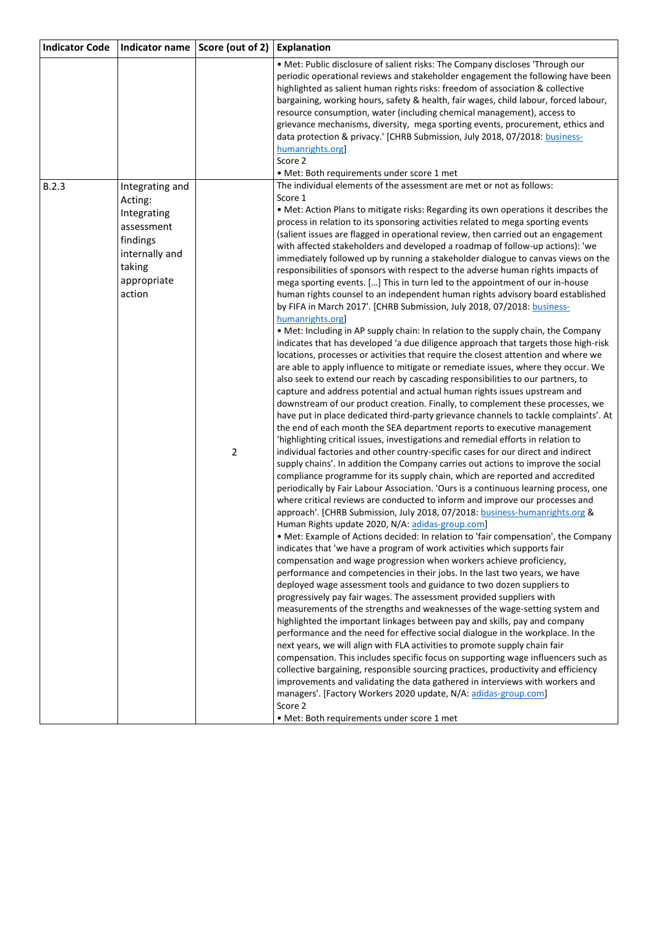| <b>Indicator Code</b> | Indicator name                                                                                                           | Score (out of 2) | Explanation                                                                                                                                                                                                                                                                                                                                                                                                                                                                                                                                                                                                                                                                                                                                                                                                                                                                                                                                                                                                                                                                                                                                                                                                                                                                                                                                                                                                                                                                                                                                                                                                                                                                                                                                                                                                                                                                                                                                                                                                                                                                                                                                                                                                                                                                                                                                                                                                                                                                                                                                                                                                                                                                                                                                                                                                                                                                                                                                                                                                                                                                                                                                                                                                                                                                                                                                                                                                                                                                                                   |
|-----------------------|--------------------------------------------------------------------------------------------------------------------------|------------------|---------------------------------------------------------------------------------------------------------------------------------------------------------------------------------------------------------------------------------------------------------------------------------------------------------------------------------------------------------------------------------------------------------------------------------------------------------------------------------------------------------------------------------------------------------------------------------------------------------------------------------------------------------------------------------------------------------------------------------------------------------------------------------------------------------------------------------------------------------------------------------------------------------------------------------------------------------------------------------------------------------------------------------------------------------------------------------------------------------------------------------------------------------------------------------------------------------------------------------------------------------------------------------------------------------------------------------------------------------------------------------------------------------------------------------------------------------------------------------------------------------------------------------------------------------------------------------------------------------------------------------------------------------------------------------------------------------------------------------------------------------------------------------------------------------------------------------------------------------------------------------------------------------------------------------------------------------------------------------------------------------------------------------------------------------------------------------------------------------------------------------------------------------------------------------------------------------------------------------------------------------------------------------------------------------------------------------------------------------------------------------------------------------------------------------------------------------------------------------------------------------------------------------------------------------------------------------------------------------------------------------------------------------------------------------------------------------------------------------------------------------------------------------------------------------------------------------------------------------------------------------------------------------------------------------------------------------------------------------------------------------------------------------------------------------------------------------------------------------------------------------------------------------------------------------------------------------------------------------------------------------------------------------------------------------------------------------------------------------------------------------------------------------------------------------------------------------------------------------------------------------------|
|                       |                                                                                                                          |                  | . Met: Public disclosure of salient risks: The Company discloses 'Through our<br>periodic operational reviews and stakeholder engagement the following have been<br>highlighted as salient human rights risks: freedom of association & collective<br>bargaining, working hours, safety & health, fair wages, child labour, forced labour,<br>resource consumption, water (including chemical management), access to<br>grievance mechanisms, diversity, mega sporting events, procurement, ethics and<br>data protection & privacy.' [CHRB Submission, July 2018, 07/2018: business-<br>humanrights.org<br>Score 2<br>• Met: Both requirements under score 1 met                                                                                                                                                                                                                                                                                                                                                                                                                                                                                                                                                                                                                                                                                                                                                                                                                                                                                                                                                                                                                                                                                                                                                                                                                                                                                                                                                                                                                                                                                                                                                                                                                                                                                                                                                                                                                                                                                                                                                                                                                                                                                                                                                                                                                                                                                                                                                                                                                                                                                                                                                                                                                                                                                                                                                                                                                                             |
| B.2.3                 | Integrating and<br>Acting:<br>Integrating<br>assessment<br>findings<br>internally and<br>taking<br>appropriate<br>action | $\overline{2}$   | The individual elements of the assessment are met or not as follows:<br>Score 1<br>. Met: Action Plans to mitigate risks: Regarding its own operations it describes the<br>process in relation to its sponsoring activities related to mega sporting events<br>(salient issues are flagged in operational review, then carried out an engagement<br>with affected stakeholders and developed a roadmap of follow-up actions): 'we<br>immediately followed up by running a stakeholder dialogue to canvas views on the<br>responsibilities of sponsors with respect to the adverse human rights impacts of<br>mega sporting events. [] This in turn led to the appointment of our in-house<br>human rights counsel to an independent human rights advisory board established<br>by FIFA in March 2017'. [CHRB Submission, July 2018, 07/2018: business-<br>humanrights.org<br>• Met: Including in AP supply chain: In relation to the supply chain, the Company<br>indicates that has developed 'a due diligence approach that targets those high-risk<br>locations, processes or activities that require the closest attention and where we<br>are able to apply influence to mitigate or remediate issues, where they occur. We<br>also seek to extend our reach by cascading responsibilities to our partners, to<br>capture and address potential and actual human rights issues upstream and<br>downstream of our product creation. Finally, to complement these processes, we<br>have put in place dedicated third-party grievance channels to tackle complaints'. At<br>the end of each month the SEA department reports to executive management<br>'highlighting critical issues, investigations and remedial efforts in relation to<br>individual factories and other country-specific cases for our direct and indirect<br>supply chains'. In addition the Company carries out actions to improve the social<br>compliance programme for its supply chain, which are reported and accredited<br>periodically by Fair Labour Association. 'Ours is a continuous learning process, one<br>where critical reviews are conducted to inform and improve our processes and<br>approach'. [CHRB Submission, July 2018, 07/2018: business-humanrights.org &<br>Human Rights update 2020, N/A: adidas-group.com]<br>• Met: Example of Actions decided: In relation to 'fair compensation', the Company<br>indicates that 'we have a program of work activities which supports fair<br>compensation and wage progression when workers achieve proficiency,<br>performance and competencies in their jobs. In the last two years, we have<br>deployed wage assessment tools and guidance to two dozen suppliers to<br>progressively pay fair wages. The assessment provided suppliers with<br>measurements of the strengths and weaknesses of the wage-setting system and<br>highlighted the important linkages between pay and skills, pay and company<br>performance and the need for effective social dialogue in the workplace. In the<br>next years, we will align with FLA activities to promote supply chain fair<br>compensation. This includes specific focus on supporting wage influencers such as<br>collective bargaining, responsible sourcing practices, productivity and efficiency<br>improvements and validating the data gathered in interviews with workers and<br>managers'. [Factory Workers 2020 update, N/A: adidas-group.com]<br>Score 2<br>• Met: Both requirements under score 1 met |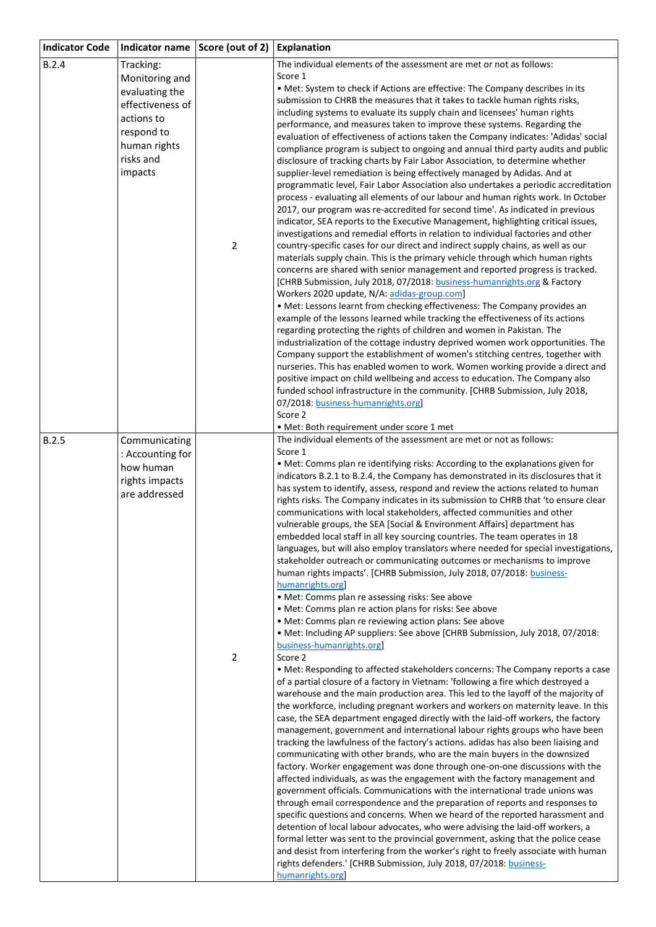| <b>Indicator Code</b> |                                                                                                                                       | Indicator name   Score (out of 2) | Explanation                                                                                                                                                                                                                                                                                                                                                                                                                                                                                                                                                                                                                                                                                                                                                                                                                                                                                                                                                                                                                                                                                                                                                                                                                                                                                                                                                                                                                                                                                                                                                                                                                                                                                                                                                                                                                                                                                                                                                                                                                                                                                                                                                                                                                                                                                                                                                                                                                                                                                                                                                                                                                                                                                                                                                    |
|-----------------------|---------------------------------------------------------------------------------------------------------------------------------------|-----------------------------------|----------------------------------------------------------------------------------------------------------------------------------------------------------------------------------------------------------------------------------------------------------------------------------------------------------------------------------------------------------------------------------------------------------------------------------------------------------------------------------------------------------------------------------------------------------------------------------------------------------------------------------------------------------------------------------------------------------------------------------------------------------------------------------------------------------------------------------------------------------------------------------------------------------------------------------------------------------------------------------------------------------------------------------------------------------------------------------------------------------------------------------------------------------------------------------------------------------------------------------------------------------------------------------------------------------------------------------------------------------------------------------------------------------------------------------------------------------------------------------------------------------------------------------------------------------------------------------------------------------------------------------------------------------------------------------------------------------------------------------------------------------------------------------------------------------------------------------------------------------------------------------------------------------------------------------------------------------------------------------------------------------------------------------------------------------------------------------------------------------------------------------------------------------------------------------------------------------------------------------------------------------------------------------------------------------------------------------------------------------------------------------------------------------------------------------------------------------------------------------------------------------------------------------------------------------------------------------------------------------------------------------------------------------------------------------------------------------------------------------------------------------------|
| B.2.4                 | Tracking:<br>Monitoring and<br>evaluating the<br>effectiveness of<br>actions to<br>respond to<br>human rights<br>risks and<br>impacts | $\mathbf 2$                       | The individual elements of the assessment are met or not as follows:<br>Score 1<br>• Met: System to check if Actions are effective: The Company describes in its<br>submission to CHRB the measures that it takes to tackle human rights risks,<br>including systems to evaluate its supply chain and licensees' human rights<br>performance, and measures taken to improve these systems. Regarding the<br>evaluation of effectiveness of actions taken the Company indicates: 'Adidas' social<br>compliance program is subject to ongoing and annual third party audits and public<br>disclosure of tracking charts by Fair Labor Association, to determine whether<br>supplier-level remediation is being effectively managed by Adidas. And at<br>programmatic level, Fair Labor Association also undertakes a periodic accreditation<br>process - evaluating all elements of our labour and human rights work. In October<br>2017, our program was re-accredited for second time'. As indicated in previous<br>indicator, SEA reports to the Executive Management, highlighting critical issues,<br>investigations and remedial efforts in relation to individual factories and other<br>country-specific cases for our direct and indirect supply chains, as well as our<br>materials supply chain. This is the primary vehicle through which human rights<br>concerns are shared with senior management and reported progress is tracked.<br>[CHRB Submission, July 2018, 07/2018: business-humanrights.org & Factory<br>Workers 2020 update, N/A: adidas-group.com]<br>• Met: Lessons learnt from checking effectiveness: The Company provides an<br>example of the lessons learned while tracking the effectiveness of its actions<br>regarding protecting the rights of children and women in Pakistan. The<br>industrialization of the cottage industry deprived women work opportunities. The<br>Company support the establishment of women's stitching centres, together with<br>nurseries. This has enabled women to work. Women working provide a direct and<br>positive impact on child wellbeing and access to education. The Company also<br>funded school infrastructure in the community. [CHRB Submission, July 2018,<br>07/2018: business-humanrights.org]                                                                                                                                                                                                                                                                                                                                                                                                                                                                               |
| B.2.5                 | Communicating<br>: Accounting for<br>how human<br>rights impacts<br>are addressed                                                     | $\overline{2}$                    | Score 2<br>• Met: Both requirement under score 1 met<br>The individual elements of the assessment are met or not as follows:<br>Score 1<br>• Met: Comms plan re identifying risks: According to the explanations given for<br>indicators B.2.1 to B.2.4, the Company has demonstrated in its disclosures that it<br>has system to identify, assess, respond and review the actions related to human<br>rights risks. The Company indicates in its submission to CHRB that 'to ensure clear<br>communications with local stakeholders, affected communities and other<br>vulnerable groups, the SEA [Social & Environment Affairs] department has<br>embedded local staff in all key sourcing countries. The team operates in 18<br>languages, but will also employ translators where needed for special investigations,<br>stakeholder outreach or communicating outcomes or mechanisms to improve<br>human rights impacts'. [CHRB Submission, July 2018, 07/2018: business-<br>humanrights.org]<br>• Met: Comms plan re assessing risks: See above<br>· Met: Comms plan re action plans for risks: See above<br>• Met: Comms plan re reviewing action plans: See above<br>. Met: Including AP suppliers: See above [CHRB Submission, July 2018, 07/2018:<br>business-humanrights.org<br>Score 2<br>• Met: Responding to affected stakeholders concerns: The Company reports a case<br>of a partial closure of a factory in Vietnam: 'following a fire which destroyed a<br>warehouse and the main production area. This led to the layoff of the majority of<br>the workforce, including pregnant workers and workers on maternity leave. In this<br>case, the SEA department engaged directly with the laid-off workers, the factory<br>management, government and international labour rights groups who have been<br>tracking the lawfulness of the factory's actions. adidas has also been liaising and<br>communicating with other brands, who are the main buyers in the downsized<br>factory. Worker engagement was done through one-on-one discussions with the<br>affected individuals, as was the engagement with the factory management and<br>government officials. Communications with the international trade unions was<br>through email correspondence and the preparation of reports and responses to<br>specific questions and concerns. When we heard of the reported harassment and<br>detention of local labour advocates, who were advising the laid-off workers, a<br>formal letter was sent to the provincial government, asking that the police cease<br>and desist from interfering from the worker's right to freely associate with human<br>rights defenders.' [CHRB Submission, July 2018, 07/2018: business-<br>humanrights.org |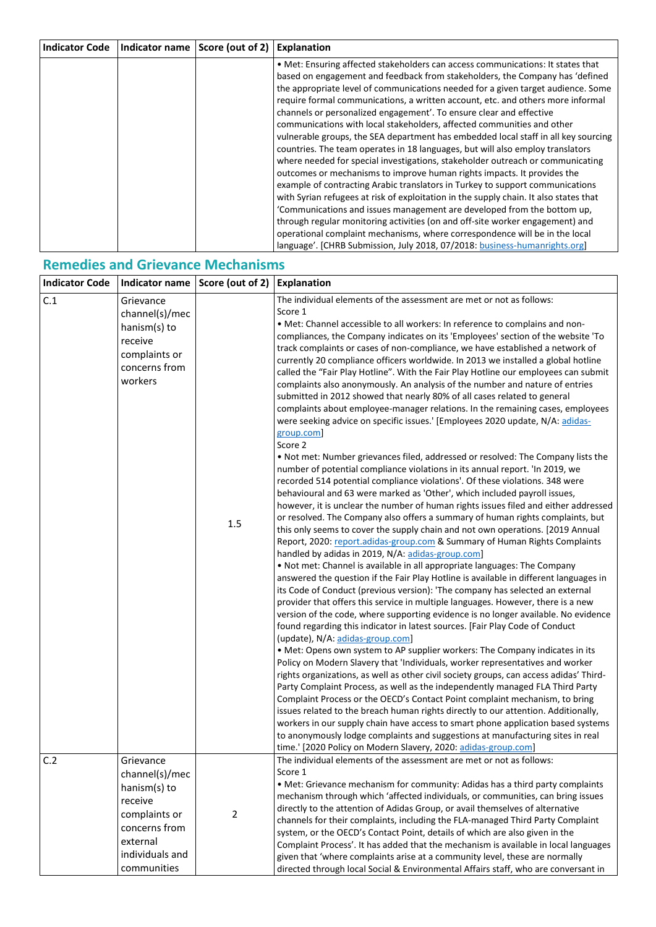| <b>Indicator Code</b> | Indicator name | Score (out of 2) | <b>Explanation</b>                                                                    |
|-----------------------|----------------|------------------|---------------------------------------------------------------------------------------|
|                       |                |                  | • Met: Ensuring affected stakeholders can access communications: It states that       |
|                       |                |                  | based on engagement and feedback from stakeholders, the Company has 'defined          |
|                       |                |                  | the appropriate level of communications needed for a given target audience. Some      |
|                       |                |                  | require formal communications, a written account, etc. and others more informal       |
|                       |                |                  | channels or personalized engagement'. To ensure clear and effective                   |
|                       |                |                  | communications with local stakeholders, affected communities and other                |
|                       |                |                  | vulnerable groups, the SEA department has embedded local staff in all key sourcing    |
|                       |                |                  | countries. The team operates in 18 languages, but will also employ translators        |
|                       |                |                  | where needed for special investigations, stakeholder outreach or communicating        |
|                       |                |                  | outcomes or mechanisms to improve human rights impacts. It provides the               |
|                       |                |                  | example of contracting Arabic translators in Turkey to support communications         |
|                       |                |                  | with Syrian refugees at risk of exploitation in the supply chain. It also states that |
|                       |                |                  | 'Communications and issues management are developed from the bottom up,               |
|                       |                |                  | through regular monitoring activities (on and off-site worker engagement) and         |
|                       |                |                  | operational complaint mechanisms, where correspondence will be in the local           |
|                       |                |                  | language'. [CHRB Submission, July 2018, 07/2018: business-humanrights.org]            |

## **Remedies and Grievance Mechanisms**

| <b>Indicator Code</b> | Indicator name                                                                                                                         | Score (out of 2) | <b>Explanation</b>                                                                                                                                                                                                                                                                                                                                                                                                                                                                                                                                                                                                                                                                                                                                                                                                                                                                                                                                                                                                                                                                                                                                                                                                                                                                                                                                                                                                                                                                                                                                                                                                                                                                                                                                                                                                                                                                                                                                                                                                                                                                                                                                                                                                                                                                                                                                                                                                                                                                                                                                                                                                                                                                                                                                                                                                                                                                                                    |
|-----------------------|----------------------------------------------------------------------------------------------------------------------------------------|------------------|-----------------------------------------------------------------------------------------------------------------------------------------------------------------------------------------------------------------------------------------------------------------------------------------------------------------------------------------------------------------------------------------------------------------------------------------------------------------------------------------------------------------------------------------------------------------------------------------------------------------------------------------------------------------------------------------------------------------------------------------------------------------------------------------------------------------------------------------------------------------------------------------------------------------------------------------------------------------------------------------------------------------------------------------------------------------------------------------------------------------------------------------------------------------------------------------------------------------------------------------------------------------------------------------------------------------------------------------------------------------------------------------------------------------------------------------------------------------------------------------------------------------------------------------------------------------------------------------------------------------------------------------------------------------------------------------------------------------------------------------------------------------------------------------------------------------------------------------------------------------------------------------------------------------------------------------------------------------------------------------------------------------------------------------------------------------------------------------------------------------------------------------------------------------------------------------------------------------------------------------------------------------------------------------------------------------------------------------------------------------------------------------------------------------------------------------------------------------------------------------------------------------------------------------------------------------------------------------------------------------------------------------------------------------------------------------------------------------------------------------------------------------------------------------------------------------------------------------------------------------------------------------------------------------------|
| C.1                   | Grievance<br>channel(s)/mec<br>hanism(s) to<br>receive<br>complaints or<br>concerns from<br>workers                                    | 1.5              | The individual elements of the assessment are met or not as follows:<br>Score 1<br>. Met: Channel accessible to all workers: In reference to complains and non-<br>compliances, the Company indicates on its 'Employees' section of the website 'To<br>track complaints or cases of non-compliance, we have established a network of<br>currently 20 compliance officers worldwide. In 2013 we installed a global hotline<br>called the "Fair Play Hotline". With the Fair Play Hotline our employees can submit<br>complaints also anonymously. An analysis of the number and nature of entries<br>submitted in 2012 showed that nearly 80% of all cases related to general<br>complaints about employee-manager relations. In the remaining cases, employees<br>were seeking advice on specific issues.' [Employees 2020 update, N/A: adidas-<br>group.com]<br>Score 2<br>. Not met: Number grievances filed, addressed or resolved: The Company lists the<br>number of potential compliance violations in its annual report. 'In 2019, we<br>recorded 514 potential compliance violations'. Of these violations. 348 were<br>behavioural and 63 were marked as 'Other', which included payroll issues,<br>however, it is unclear the number of human rights issues filed and either addressed<br>or resolved. The Company also offers a summary of human rights complaints, but<br>this only seems to cover the supply chain and not own operations. [2019 Annual<br>Report, 2020: report.adidas-group.com & Summary of Human Rights Complaints<br>handled by adidas in 2019, N/A: adidas-group.com]<br>. Not met: Channel is available in all appropriate languages: The Company<br>answered the question if the Fair Play Hotline is available in different languages in<br>its Code of Conduct (previous version): 'The company has selected an external<br>provider that offers this service in multiple languages. However, there is a new<br>version of the code, where supporting evidence is no longer available. No evidence<br>found regarding this indicator in latest sources. [Fair Play Code of Conduct<br>(update), N/A: adidas-group.com]<br>• Met: Opens own system to AP supplier workers: The Company indicates in its<br>Policy on Modern Slavery that 'Individuals, worker representatives and worker<br>rights organizations, as well as other civil society groups, can access adidas' Third-<br>Party Complaint Process, as well as the independently managed FLA Third Party<br>Complaint Process or the OECD's Contact Point complaint mechanism, to bring<br>issues related to the breach human rights directly to our attention. Additionally,<br>workers in our supply chain have access to smart phone application based systems<br>to anonymously lodge complaints and suggestions at manufacturing sites in real<br>time.' [2020 Policy on Modern Slavery, 2020: adidas-group.com] |
| C.2                   | Grievance<br>channel(s)/mec<br>hanism(s) to<br>receive<br>complaints or<br>concerns from<br>external<br>individuals and<br>communities | $\overline{2}$   | The individual elements of the assessment are met or not as follows:<br>Score 1<br>• Met: Grievance mechanism for community: Adidas has a third party complaints<br>mechanism through which 'affected individuals, or communities, can bring issues<br>directly to the attention of Adidas Group, or avail themselves of alternative<br>channels for their complaints, including the FLA-managed Third Party Complaint<br>system, or the OECD's Contact Point, details of which are also given in the<br>Complaint Process'. It has added that the mechanism is available in local languages<br>given that 'where complaints arise at a community level, these are normally<br>directed through local Social & Environmental Affairs staff, who are conversant in                                                                                                                                                                                                                                                                                                                                                                                                                                                                                                                                                                                                                                                                                                                                                                                                                                                                                                                                                                                                                                                                                                                                                                                                                                                                                                                                                                                                                                                                                                                                                                                                                                                                                                                                                                                                                                                                                                                                                                                                                                                                                                                                                     |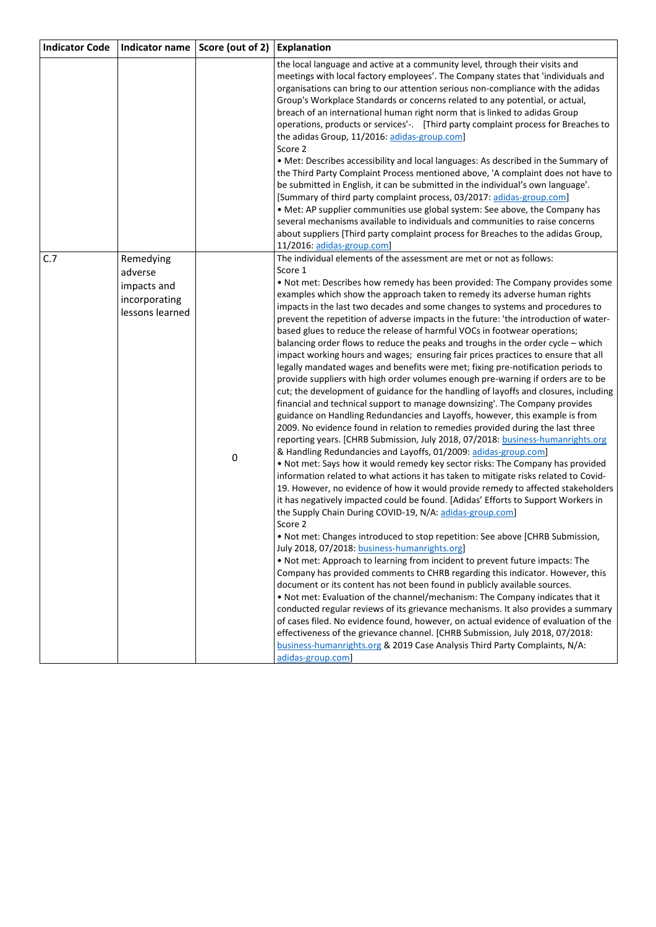| Indicator name Score (out of 2)<br><b>Indicator Code</b>                       |   | <b>Explanation</b>                                                                                                                                                                                                                                                                                                                                                                                                                                                                                                                                                                                                                                                                                                                                                                                                                                                                                                                                                                                                                                                                                                                                                                                                                                                                                                                                                                                                                                                                                                                                                                                                                                                                                                                                                                                                                                                                                                                                                                                                                                                                                                                                                                                                                                                                                                                                                                                                                                                                                                                                                                       |
|--------------------------------------------------------------------------------|---|------------------------------------------------------------------------------------------------------------------------------------------------------------------------------------------------------------------------------------------------------------------------------------------------------------------------------------------------------------------------------------------------------------------------------------------------------------------------------------------------------------------------------------------------------------------------------------------------------------------------------------------------------------------------------------------------------------------------------------------------------------------------------------------------------------------------------------------------------------------------------------------------------------------------------------------------------------------------------------------------------------------------------------------------------------------------------------------------------------------------------------------------------------------------------------------------------------------------------------------------------------------------------------------------------------------------------------------------------------------------------------------------------------------------------------------------------------------------------------------------------------------------------------------------------------------------------------------------------------------------------------------------------------------------------------------------------------------------------------------------------------------------------------------------------------------------------------------------------------------------------------------------------------------------------------------------------------------------------------------------------------------------------------------------------------------------------------------------------------------------------------------------------------------------------------------------------------------------------------------------------------------------------------------------------------------------------------------------------------------------------------------------------------------------------------------------------------------------------------------------------------------------------------------------------------------------------------------|
|                                                                                |   | the local language and active at a community level, through their visits and<br>meetings with local factory employees'. The Company states that 'individuals and<br>organisations can bring to our attention serious non-compliance with the adidas<br>Group's Workplace Standards or concerns related to any potential, or actual,<br>breach of an international human right norm that is linked to adidas Group<br>operations, products or services'-. [Third party complaint process for Breaches to<br>the adidas Group, 11/2016: adidas-group.com]<br>Score 2<br>. Met: Describes accessibility and local languages: As described in the Summary of<br>the Third Party Complaint Process mentioned above, 'A complaint does not have to<br>be submitted in English, it can be submitted in the individual's own language'.<br>[Summary of third party complaint process, 03/2017: adidas-group.com]<br>• Met: AP supplier communities use global system: See above, the Company has<br>several mechanisms available to individuals and communities to raise concerns<br>about suppliers [Third party complaint process for Breaches to the adidas Group,<br>11/2016: adidas-group.com]                                                                                                                                                                                                                                                                                                                                                                                                                                                                                                                                                                                                                                                                                                                                                                                                                                                                                                                                                                                                                                                                                                                                                                                                                                                                                                                                                                                              |
| C.7<br>Remedying<br>adverse<br>impacts and<br>incorporating<br>lessons learned | 0 | The individual elements of the assessment are met or not as follows:<br>Score 1<br>. Not met: Describes how remedy has been provided: The Company provides some<br>examples which show the approach taken to remedy its adverse human rights<br>impacts in the last two decades and some changes to systems and procedures to<br>prevent the repetition of adverse impacts in the future: 'the introduction of water-<br>based glues to reduce the release of harmful VOCs in footwear operations;<br>balancing order flows to reduce the peaks and troughs in the order cycle – which<br>impact working hours and wages; ensuring fair prices practices to ensure that all<br>legally mandated wages and benefits were met; fixing pre-notification periods to<br>provide suppliers with high order volumes enough pre-warning if orders are to be<br>cut; the development of guidance for the handling of layoffs and closures, including<br>financial and technical support to manage downsizing'. The Company provides<br>guidance on Handling Redundancies and Layoffs, however, this example is from<br>2009. No evidence found in relation to remedies provided during the last three<br>reporting years. [CHRB Submission, July 2018, 07/2018: business-humanrights.org<br>& Handling Redundancies and Layoffs, 01/2009: adidas-group.com]<br>. Not met: Says how it would remedy key sector risks: The Company has provided<br>information related to what actions it has taken to mitigate risks related to Covid-<br>19. However, no evidence of how it would provide remedy to affected stakeholders<br>it has negatively impacted could be found. [Adidas' Efforts to Support Workers in<br>the Supply Chain During COVID-19, N/A: adidas-group.com]<br>Score 2<br>. Not met: Changes introduced to stop repetition: See above [CHRB Submission,<br>July 2018, 07/2018: business-humanrights.org]<br>. Not met: Approach to learning from incident to prevent future impacts: The<br>Company has provided comments to CHRB regarding this indicator. However, this<br>document or its content has not been found in publicly available sources.<br>. Not met: Evaluation of the channel/mechanism: The Company indicates that it<br>conducted regular reviews of its grievance mechanisms. It also provides a summary<br>of cases filed. No evidence found, however, on actual evidence of evaluation of the<br>effectiveness of the grievance channel. [CHRB Submission, July 2018, 07/2018:<br>business-humanrights.org & 2019 Case Analysis Third Party Complaints, N/A: |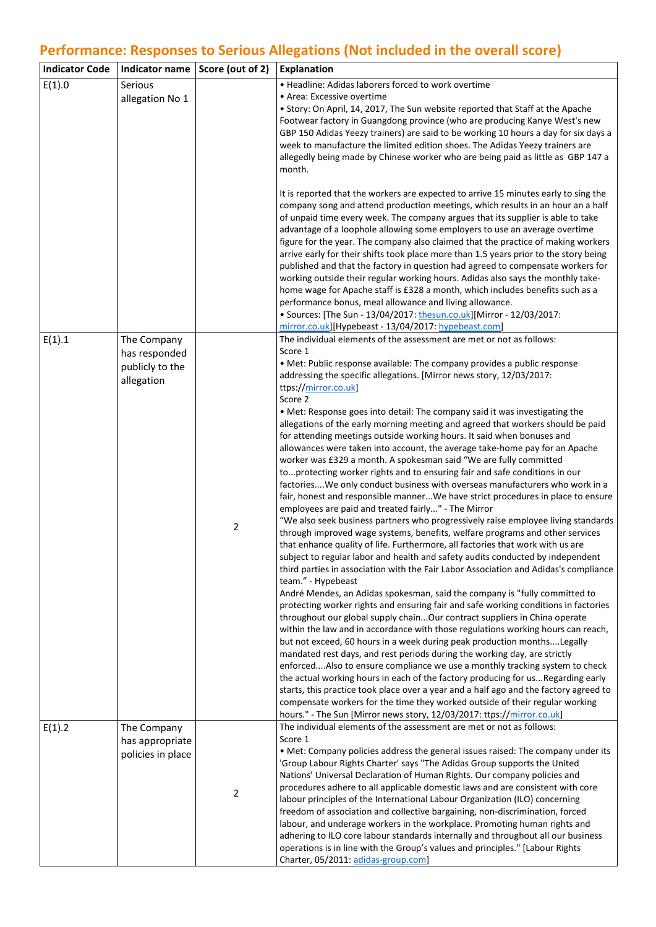# **Performance: Responses to Serious Allegations (Not included in the overall score)**

| <b>Indicator Code</b> |                                                               | Indicator name Score (out of 2) | <b>Explanation</b>                                                                                                                                                                                                                                                                                                                                                                                                                                                                                                                                                                                                                                                                                                                                                                                                                                                                                                                                                                                                                                                                                                                                                                                                                                                                                                                                                                                                                                                                                                                                                                                                                                                                                                                                                                                                                                                                                                                                                                                                                                                                                                                                                                                                                                                                                                                                                                                                              |
|-----------------------|---------------------------------------------------------------|---------------------------------|---------------------------------------------------------------------------------------------------------------------------------------------------------------------------------------------------------------------------------------------------------------------------------------------------------------------------------------------------------------------------------------------------------------------------------------------------------------------------------------------------------------------------------------------------------------------------------------------------------------------------------------------------------------------------------------------------------------------------------------------------------------------------------------------------------------------------------------------------------------------------------------------------------------------------------------------------------------------------------------------------------------------------------------------------------------------------------------------------------------------------------------------------------------------------------------------------------------------------------------------------------------------------------------------------------------------------------------------------------------------------------------------------------------------------------------------------------------------------------------------------------------------------------------------------------------------------------------------------------------------------------------------------------------------------------------------------------------------------------------------------------------------------------------------------------------------------------------------------------------------------------------------------------------------------------------------------------------------------------------------------------------------------------------------------------------------------------------------------------------------------------------------------------------------------------------------------------------------------------------------------------------------------------------------------------------------------------------------------------------------------------------------------------------------------------|
| E(1).0                | Serious<br>allegation No 1                                    |                                 | • Headline: Adidas laborers forced to work overtime<br>• Area: Excessive overtime<br>• Story: On April, 14, 2017, The Sun website reported that Staff at the Apache<br>Footwear factory in Guangdong province (who are producing Kanye West's new<br>GBP 150 Adidas Yeezy trainers) are said to be working 10 hours a day for six days a<br>week to manufacture the limited edition shoes. The Adidas Yeezy trainers are<br>allegedly being made by Chinese worker who are being paid as little as GBP 147 a<br>month.<br>It is reported that the workers are expected to arrive 15 minutes early to sing the<br>company song and attend production meetings, which results in an hour an a half<br>of unpaid time every week. The company argues that its supplier is able to take<br>advantage of a loophole allowing some employers to use an average overtime<br>figure for the year. The company also claimed that the practice of making workers<br>arrive early for their shifts took place more than 1.5 years prior to the story being<br>published and that the factory in question had agreed to compensate workers for<br>working outside their regular working hours. Adidas also says the monthly take-                                                                                                                                                                                                                                                                                                                                                                                                                                                                                                                                                                                                                                                                                                                                                                                                                                                                                                                                                                                                                                                                                                                                                                                                           |
|                       |                                                               |                                 | home wage for Apache staff is £328 a month, which includes benefits such as a<br>performance bonus, meal allowance and living allowance.<br>• Sources: [The Sun - 13/04/2017: thesun.co.uk][Mirror - 12/03/2017:<br>mirror.co.uk][Hypebeast - 13/04/2017: hypebeast.com]                                                                                                                                                                                                                                                                                                                                                                                                                                                                                                                                                                                                                                                                                                                                                                                                                                                                                                                                                                                                                                                                                                                                                                                                                                                                                                                                                                                                                                                                                                                                                                                                                                                                                                                                                                                                                                                                                                                                                                                                                                                                                                                                                        |
| E(1).1                | The Company<br>has responded<br>publicly to the<br>allegation | $\mathbf 2$                     | The individual elements of the assessment are met or not as follows:<br>Score 1<br>• Met: Public response available: The company provides a public response<br>addressing the specific allegations. [Mirror news story, 12/03/2017:<br>ttps://mirror.co.uk<br>Score 2<br>. Met: Response goes into detail: The company said it was investigating the<br>allegations of the early morning meeting and agreed that workers should be paid<br>for attending meetings outside working hours. It said when bonuses and<br>allowances were taken into account, the average take-home pay for an Apache<br>worker was £329 a month. A spokesman said "We are fully committed<br>toprotecting worker rights and to ensuring fair and safe conditions in our<br>factoriesWe only conduct business with overseas manufacturers who work in a<br>fair, honest and responsible mannerWe have strict procedures in place to ensure<br>employees are paid and treated fairly" - The Mirror<br>"We also seek business partners who progressively raise employee living standards<br>through improved wage systems, benefits, welfare programs and other services<br>that enhance quality of life. Furthermore, all factories that work with us are<br>subject to regular labor and health and safety audits conducted by independent<br>third parties in association with the Fair Labor Association and Adidas's compliance<br>team." - Hypebeast<br>André Mendes, an Adidas spokesman, said the company is "fully committed to<br>protecting worker rights and ensuring fair and safe working conditions in factories<br>throughout our global supply chainOur contract suppliers in China operate<br>within the law and in accordance with those regulations working hours can reach,<br>but not exceed, 60 hours in a week during peak production months Legally<br>mandated rest days, and rest periods during the working day, are strictly<br>enforcedAlso to ensure compliance we use a monthly tracking system to check<br>the actual working hours in each of the factory producing for usRegarding early<br>starts, this practice took place over a year and a half ago and the factory agreed to<br>compensate workers for the time they worked outside of their regular working<br>hours." - The Sun [Mirror news story, 12/03/2017: ttps://mirror.co.uk]<br>The individual elements of the assessment are met or not as follows: |
| E(1).2                | The Company<br>has appropriate<br>policies in place           | $\overline{2}$                  | Score 1<br>. Met: Company policies address the general issues raised: The company under its<br>'Group Labour Rights Charter' says "The Adidas Group supports the United<br>Nations' Universal Declaration of Human Rights. Our company policies and<br>procedures adhere to all applicable domestic laws and are consistent with core<br>labour principles of the International Labour Organization (ILO) concerning<br>freedom of association and collective bargaining, non-discrimination, forced<br>labour, and underage workers in the workplace. Promoting human rights and<br>adhering to ILO core labour standards internally and throughout all our business<br>operations is in line with the Group's values and principles." [Labour Rights<br>Charter, 05/2011: adidas-group.com]                                                                                                                                                                                                                                                                                                                                                                                                                                                                                                                                                                                                                                                                                                                                                                                                                                                                                                                                                                                                                                                                                                                                                                                                                                                                                                                                                                                                                                                                                                                                                                                                                                   |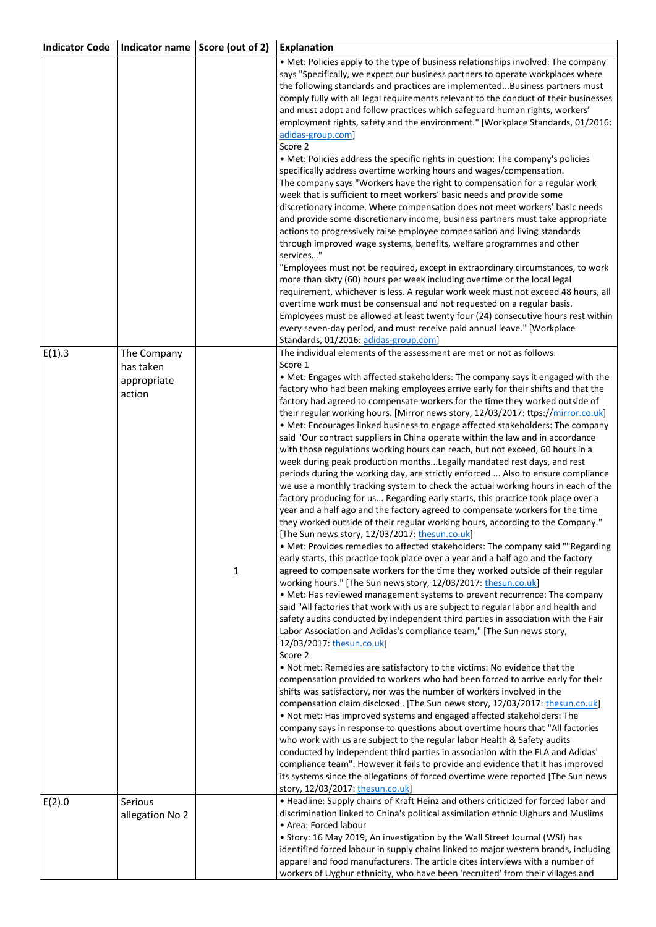| <b>Indicator Code</b> | <b>Indicator name</b> | Score (out of 2) | <b>Explanation</b>                                                                                                                                                |
|-----------------------|-----------------------|------------------|-------------------------------------------------------------------------------------------------------------------------------------------------------------------|
|                       |                       |                  | • Met: Policies apply to the type of business relationships involved: The company                                                                                 |
|                       |                       |                  | says "Specifically, we expect our business partners to operate workplaces where                                                                                   |
|                       |                       |                  | the following standards and practices are implementedBusiness partners must                                                                                       |
|                       |                       |                  | comply fully with all legal requirements relevant to the conduct of their businesses                                                                              |
|                       |                       |                  | and must adopt and follow practices which safeguard human rights, workers'                                                                                        |
|                       |                       |                  | employment rights, safety and the environment." [Workplace Standards, 01/2016:                                                                                    |
|                       |                       |                  | adidas-group.com                                                                                                                                                  |
|                       |                       |                  | Score 2                                                                                                                                                           |
|                       |                       |                  | • Met: Policies address the specific rights in question: The company's policies                                                                                   |
|                       |                       |                  | specifically address overtime working hours and wages/compensation.                                                                                               |
|                       |                       |                  | The company says "Workers have the right to compensation for a regular work                                                                                       |
|                       |                       |                  | week that is sufficient to meet workers' basic needs and provide some                                                                                             |
|                       |                       |                  | discretionary income. Where compensation does not meet workers' basic needs<br>and provide some discretionary income, business partners must take appropriate     |
|                       |                       |                  | actions to progressively raise employee compensation and living standards                                                                                         |
|                       |                       |                  | through improved wage systems, benefits, welfare programmes and other                                                                                             |
|                       |                       |                  | services"                                                                                                                                                         |
|                       |                       |                  | "Employees must not be required, except in extraordinary circumstances, to work                                                                                   |
|                       |                       |                  | more than sixty (60) hours per week including overtime or the local legal                                                                                         |
|                       |                       |                  | requirement, whichever is less. A regular work week must not exceed 48 hours, all                                                                                 |
|                       |                       |                  | overtime work must be consensual and not requested on a regular basis.                                                                                            |
|                       |                       |                  | Employees must be allowed at least twenty four (24) consecutive hours rest within                                                                                 |
|                       |                       |                  | every seven-day period, and must receive paid annual leave." [Workplace                                                                                           |
|                       |                       |                  | Standards, 01/2016: adidas-group.com]                                                                                                                             |
| E(1).3                | The Company           |                  | The individual elements of the assessment are met or not as follows:<br>Score 1                                                                                   |
|                       | has taken             |                  | • Met: Engages with affected stakeholders: The company says it engaged with the                                                                                   |
|                       | appropriate           |                  | factory who had been making employees arrive early for their shifts and that the                                                                                  |
|                       | action                |                  | factory had agreed to compensate workers for the time they worked outside of                                                                                      |
|                       |                       |                  | their regular working hours. [Mirror news story, 12/03/2017: ttps://mirror.co.uk]                                                                                 |
|                       |                       |                  | • Met: Encourages linked business to engage affected stakeholders: The company                                                                                    |
|                       |                       |                  | said "Our contract suppliers in China operate within the law and in accordance                                                                                    |
|                       |                       |                  | with those regulations working hours can reach, but not exceed, 60 hours in a                                                                                     |
|                       |                       |                  | week during peak production months Legally mandated rest days, and rest                                                                                           |
|                       |                       |                  | periods during the working day, are strictly enforced Also to ensure compliance                                                                                   |
|                       |                       |                  | we use a monthly tracking system to check the actual working hours in each of the                                                                                 |
|                       |                       |                  | factory producing for us Regarding early starts, this practice took place over a<br>year and a half ago and the factory agreed to compensate workers for the time |
|                       |                       |                  | they worked outside of their regular working hours, according to the Company."                                                                                    |
|                       |                       |                  | [The Sun news story, 12/03/2017: thesun.co.uk]                                                                                                                    |
|                       |                       |                  | • Met: Provides remedies to affected stakeholders: The company said ""Regarding                                                                                   |
|                       |                       |                  | early starts, this practice took place over a year and a half ago and the factory                                                                                 |
|                       |                       | 1                | agreed to compensate workers for the time they worked outside of their regular                                                                                    |
|                       |                       |                  | working hours." [The Sun news story, 12/03/2017: thesun.co.uk]                                                                                                    |
|                       |                       |                  | • Met: Has reviewed management systems to prevent recurrence: The company                                                                                         |
|                       |                       |                  | said "All factories that work with us are subject to regular labor and health and                                                                                 |
|                       |                       |                  | safety audits conducted by independent third parties in association with the Fair                                                                                 |
|                       |                       |                  | Labor Association and Adidas's compliance team," [The Sun news story,                                                                                             |
|                       |                       |                  | 12/03/2017: thesun.co.uk]<br>Score 2                                                                                                                              |
|                       |                       |                  | • Not met: Remedies are satisfactory to the victims: No evidence that the                                                                                         |
|                       |                       |                  | compensation provided to workers who had been forced to arrive early for their                                                                                    |
|                       |                       |                  | shifts was satisfactory, nor was the number of workers involved in the                                                                                            |
|                       |                       |                  | compensation claim disclosed. [The Sun news story, 12/03/2017: thesun.co.uk]                                                                                      |
|                       |                       |                  | . Not met: Has improved systems and engaged affected stakeholders: The                                                                                            |
|                       |                       |                  | company says in response to questions about overtime hours that "All factories                                                                                    |
|                       |                       |                  | who work with us are subject to the regular labor Health & Safety audits                                                                                          |
|                       |                       |                  | conducted by independent third parties in association with the FLA and Adidas'                                                                                    |
|                       |                       |                  | compliance team". However it fails to provide and evidence that it has improved                                                                                   |
|                       |                       |                  | its systems since the allegations of forced overtime were reported [The Sun news                                                                                  |
|                       |                       |                  | story, 12/03/2017: thesun.co.uk                                                                                                                                   |
| E(2).0                | Serious               |                  | • Headline: Supply chains of Kraft Heinz and others criticized for forced labor and                                                                               |
|                       | allegation No 2       |                  | discrimination linked to China's political assimilation ethnic Uighurs and Muslims<br>• Area: Forced labour                                                       |
|                       |                       |                  | • Story: 16 May 2019, An investigation by the Wall Street Journal (WSJ) has                                                                                       |
|                       |                       |                  | identified forced labour in supply chains linked to major western brands, including                                                                               |
|                       |                       |                  | apparel and food manufacturers. The article cites interviews with a number of                                                                                     |
|                       |                       |                  | workers of Uyghur ethnicity, who have been 'recruited' from their villages and                                                                                    |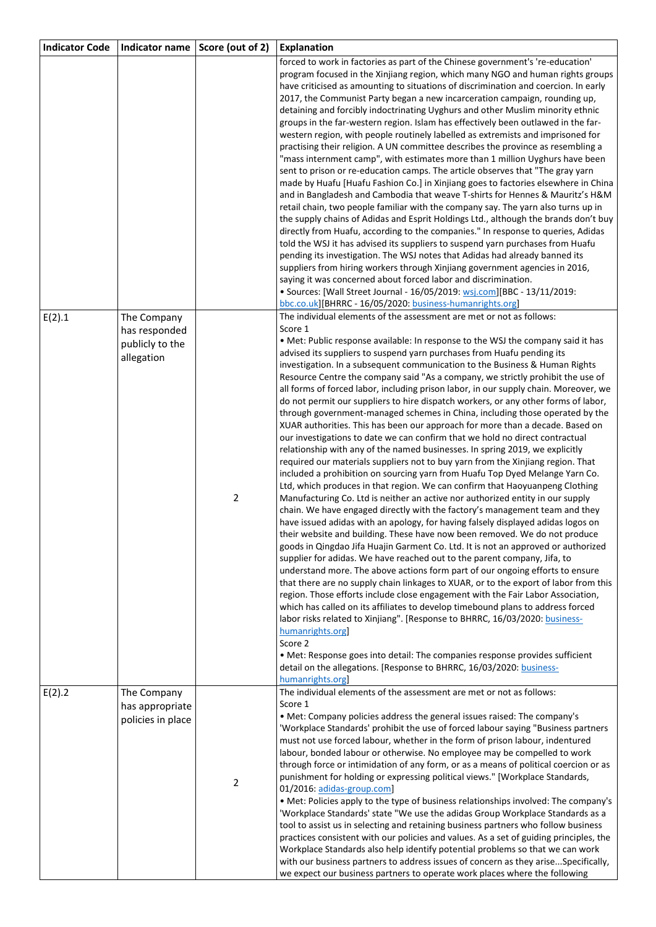| <b>Indicator Code</b> | <b>Indicator name</b>                                         | Score (out of 2) | <b>Explanation</b>                                                                                                                                                                                                                                                                                                                                                                                                                                                                                                                                                                                                                                                                                                                                                                                                                                                                                                                                                                                                                                                                                                                                                                                                                                                                                                                                                                                                                                                                                                                                                                                                                                                                                                                                                                                                                                                                                                                                                                                                                                                                                                                                                                                                                                                                                                           |
|-----------------------|---------------------------------------------------------------|------------------|------------------------------------------------------------------------------------------------------------------------------------------------------------------------------------------------------------------------------------------------------------------------------------------------------------------------------------------------------------------------------------------------------------------------------------------------------------------------------------------------------------------------------------------------------------------------------------------------------------------------------------------------------------------------------------------------------------------------------------------------------------------------------------------------------------------------------------------------------------------------------------------------------------------------------------------------------------------------------------------------------------------------------------------------------------------------------------------------------------------------------------------------------------------------------------------------------------------------------------------------------------------------------------------------------------------------------------------------------------------------------------------------------------------------------------------------------------------------------------------------------------------------------------------------------------------------------------------------------------------------------------------------------------------------------------------------------------------------------------------------------------------------------------------------------------------------------------------------------------------------------------------------------------------------------------------------------------------------------------------------------------------------------------------------------------------------------------------------------------------------------------------------------------------------------------------------------------------------------------------------------------------------------------------------------------------------------|
|                       |                                                               |                  | forced to work in factories as part of the Chinese government's 're-education'<br>program focused in the Xinjiang region, which many NGO and human rights groups<br>have criticised as amounting to situations of discrimination and coercion. In early<br>2017, the Communist Party began a new incarceration campaign, rounding up,<br>detaining and forcibly indoctrinating Uyghurs and other Muslim minority ethnic<br>groups in the far-western region. Islam has effectively been outlawed in the far-<br>western region, with people routinely labelled as extremists and imprisoned for<br>practising their religion. A UN committee describes the province as resembling a<br>"mass internment camp", with estimates more than 1 million Uyghurs have been<br>sent to prison or re-education camps. The article observes that "The gray yarn<br>made by Huafu [Huafu Fashion Co.] in Xinjiang goes to factories elsewhere in China<br>and in Bangladesh and Cambodia that weave T-shirts for Hennes & Mauritz's H&M<br>retail chain, two people familiar with the company say. The yarn also turns up in<br>the supply chains of Adidas and Esprit Holdings Ltd., although the brands don't buy<br>directly from Huafu, according to the companies." In response to queries, Adidas<br>told the WSJ it has advised its suppliers to suspend yarn purchases from Huafu<br>pending its investigation. The WSJ notes that Adidas had already banned its<br>suppliers from hiring workers through Xinjiang government agencies in 2016,<br>saying it was concerned about forced labor and discrimination.<br>• Sources: [Wall Street Journal - 16/05/2019: wsj.com][BBC - 13/11/2019:<br>bbc.co.uk][BHRRC - 16/05/2020: business-humanrights.org]                                                                                                                                                                                                                                                                                                                                                                                                                                                                                                                                                                       |
| E(2).1                | The Company<br>has responded<br>publicly to the<br>allegation | $\overline{2}$   | The individual elements of the assessment are met or not as follows:<br>Score 1<br>. Met: Public response available: In response to the WSJ the company said it has<br>advised its suppliers to suspend yarn purchases from Huafu pending its<br>investigation. In a subsequent communication to the Business & Human Rights<br>Resource Centre the company said "As a company, we strictly prohibit the use of<br>all forms of forced labor, including prison labor, in our supply chain. Moreover, we<br>do not permit our suppliers to hire dispatch workers, or any other forms of labor,<br>through government-managed schemes in China, including those operated by the<br>XUAR authorities. This has been our approach for more than a decade. Based on<br>our investigations to date we can confirm that we hold no direct contractual<br>relationship with any of the named businesses. In spring 2019, we explicitly<br>required our materials suppliers not to buy yarn from the Xinjiang region. That<br>included a prohibition on sourcing yarn from Huafu Top Dyed Melange Yarn Co.<br>Ltd, which produces in that region. We can confirm that Haoyuanpeng Clothing<br>Manufacturing Co. Ltd is neither an active nor authorized entity in our supply<br>chain. We have engaged directly with the factory's management team and they<br>have issued adidas with an apology, for having falsely displayed adidas logos on<br>their website and building. These have now been removed. We do not produce<br>goods in Qingdao Jifa Huajin Garment Co. Ltd. It is not an approved or authorized<br>supplier for adidas. We have reached out to the parent company, Jifa, to<br>understand more. The above actions form part of our ongoing efforts to ensure<br>that there are no supply chain linkages to XUAR, or to the export of labor from this<br>region. Those efforts include close engagement with the Fair Labor Association,<br>which has called on its affiliates to develop timebound plans to address forced<br>labor risks related to Xinjiang". [Response to BHRRC, 16/03/2020: business-<br>humanrights.org<br>Score 2<br>• Met: Response goes into detail: The companies response provides sufficient<br>detail on the allegations. [Response to BHRRC, 16/03/2020: business-<br>humanrights.org |
| E(2).2                | The Company<br>has appropriate<br>policies in place           | 2                | The individual elements of the assessment are met or not as follows:<br>Score 1<br>• Met: Company policies address the general issues raised: The company's<br>'Workplace Standards' prohibit the use of forced labour saying "Business partners<br>must not use forced labour, whether in the form of prison labour, indentured<br>labour, bonded labour or otherwise. No employee may be compelled to work<br>through force or intimidation of any form, or as a means of political coercion or as<br>punishment for holding or expressing political views." [Workplace Standards,<br>01/2016: adidas-group.com]<br>• Met: Policies apply to the type of business relationships involved: The company's<br>'Workplace Standards' state "We use the adidas Group Workplace Standards as a<br>tool to assist us in selecting and retaining business partners who follow business<br>practices consistent with our policies and values. As a set of guiding principles, the<br>Workplace Standards also help identify potential problems so that we can work<br>with our business partners to address issues of concern as they ariseSpecifically,<br>we expect our business partners to operate work places where the following                                                                                                                                                                                                                                                                                                                                                                                                                                                                                                                                                                                                                                                                                                                                                                                                                                                                                                                                                                                                                                                                                              |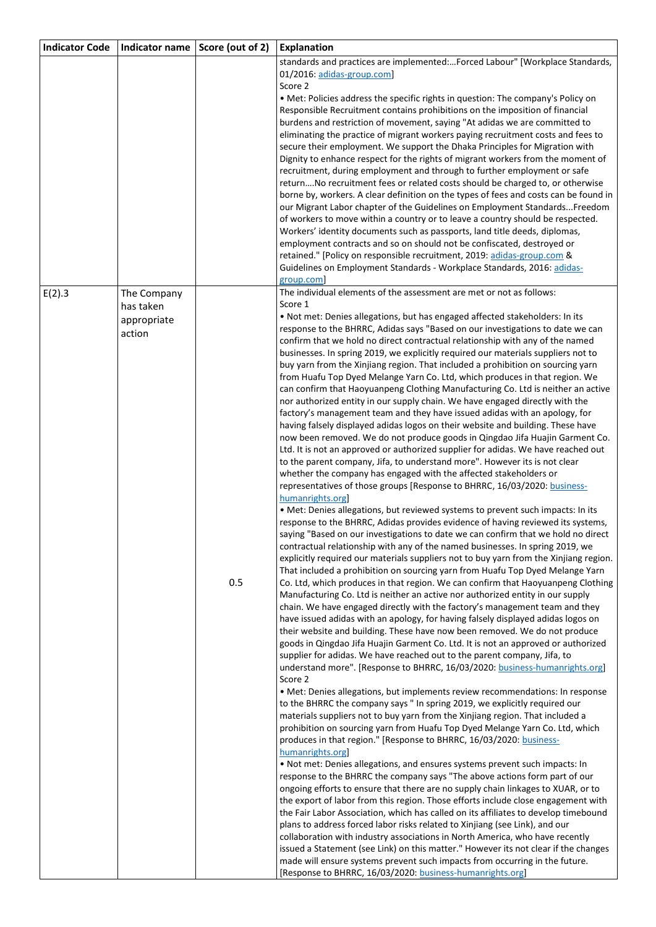| <b>Indicator Code</b> | Indicator name | Score (out of 2) | <b>Explanation</b>                                                                                                                                                 |
|-----------------------|----------------|------------------|--------------------------------------------------------------------------------------------------------------------------------------------------------------------|
|                       |                |                  | standards and practices are implemented:Forced Labour" [Workplace Standards,                                                                                       |
|                       |                |                  | 01/2016: adidas-group.com]                                                                                                                                         |
|                       |                |                  | Score 2<br>. Met: Policies address the specific rights in question: The company's Policy on                                                                        |
|                       |                |                  | Responsible Recruitment contains prohibitions on the imposition of financial                                                                                       |
|                       |                |                  | burdens and restriction of movement, saying "At adidas we are committed to                                                                                         |
|                       |                |                  | eliminating the practice of migrant workers paying recruitment costs and fees to                                                                                   |
|                       |                |                  | secure their employment. We support the Dhaka Principles for Migration with                                                                                        |
|                       |                |                  | Dignity to enhance respect for the rights of migrant workers from the moment of                                                                                    |
|                       |                |                  | recruitment, during employment and through to further employment or safe                                                                                           |
|                       |                |                  | returnNo recruitment fees or related costs should be charged to, or otherwise                                                                                      |
|                       |                |                  | borne by, workers. A clear definition on the types of fees and costs can be found in                                                                               |
|                       |                |                  | our Migrant Labor chapter of the Guidelines on Employment StandardsFreedom                                                                                         |
|                       |                |                  | of workers to move within a country or to leave a country should be respected.<br>Workers' identity documents such as passports, land title deeds, diplomas,       |
|                       |                |                  | employment contracts and so on should not be confiscated, destroyed or                                                                                             |
|                       |                |                  | retained." [Policy on responsible recruitment, 2019: adidas-group.com &                                                                                            |
|                       |                |                  | Guidelines on Employment Standards - Workplace Standards, 2016: adidas-                                                                                            |
|                       |                |                  | group.com]                                                                                                                                                         |
| E(2).3                | The Company    |                  | The individual elements of the assessment are met or not as follows:                                                                                               |
|                       | has taken      |                  | Score 1                                                                                                                                                            |
|                       | appropriate    |                  | . Not met: Denies allegations, but has engaged affected stakeholders: In its                                                                                       |
|                       | action         |                  | response to the BHRRC, Adidas says "Based on our investigations to date we can                                                                                     |
|                       |                |                  | confirm that we hold no direct contractual relationship with any of the named<br>businesses. In spring 2019, we explicitly required our materials suppliers not to |
|                       |                |                  | buy yarn from the Xinjiang region. That included a prohibition on sourcing yarn                                                                                    |
|                       |                |                  | from Huafu Top Dyed Melange Yarn Co. Ltd, which produces in that region. We                                                                                        |
|                       |                |                  | can confirm that Haoyuanpeng Clothing Manufacturing Co. Ltd is neither an active                                                                                   |
|                       |                |                  | nor authorized entity in our supply chain. We have engaged directly with the                                                                                       |
|                       |                |                  | factory's management team and they have issued adidas with an apology, for                                                                                         |
|                       |                |                  | having falsely displayed adidas logos on their website and building. These have                                                                                    |
|                       |                |                  | now been removed. We do not produce goods in Qingdao Jifa Huajin Garment Co.                                                                                       |
|                       |                |                  | Ltd. It is not an approved or authorized supplier for adidas. We have reached out                                                                                  |
|                       |                |                  | to the parent company, Jifa, to understand more". However its is not clear                                                                                         |
|                       |                |                  | whether the company has engaged with the affected stakeholders or<br>representatives of those groups [Response to BHRRC, 16/03/2020: business-                     |
|                       |                |                  | humanrights.org                                                                                                                                                    |
|                       |                |                  | · Met: Denies allegations, but reviewed systems to prevent such impacts: In its                                                                                    |
|                       |                |                  | response to the BHRRC, Adidas provides evidence of having reviewed its systems,                                                                                    |
|                       |                |                  | saying "Based on our investigations to date we can confirm that we hold no direct                                                                                  |
|                       |                |                  | contractual relationship with any of the named businesses. In spring 2019, we                                                                                      |
|                       |                |                  | explicitly required our materials suppliers not to buy yarn from the Xinjiang region.                                                                              |
|                       |                |                  | That included a prohibition on sourcing yarn from Huafu Top Dyed Melange Yarn                                                                                      |
|                       |                | 0.5              | Co. Ltd, which produces in that region. We can confirm that Haoyuanpeng Clothing<br>Manufacturing Co. Ltd is neither an active nor authorized entity in our supply |
|                       |                |                  | chain. We have engaged directly with the factory's management team and they                                                                                        |
|                       |                |                  | have issued adidas with an apology, for having falsely displayed adidas logos on                                                                                   |
|                       |                |                  | their website and building. These have now been removed. We do not produce                                                                                         |
|                       |                |                  | goods in Qingdao Jifa Huajin Garment Co. Ltd. It is not an approved or authorized                                                                                  |
|                       |                |                  | supplier for adidas. We have reached out to the parent company, Jifa, to                                                                                           |
|                       |                |                  | understand more". [Response to BHRRC, 16/03/2020: business-humanrights.org]                                                                                        |
|                       |                |                  | Score 2                                                                                                                                                            |
|                       |                |                  | • Met: Denies allegations, but implements review recommendations: In response                                                                                      |
|                       |                |                  | to the BHRRC the company says " In spring 2019, we explicitly required our<br>materials suppliers not to buy yarn from the Xinjiang region. That included a        |
|                       |                |                  | prohibition on sourcing yarn from Huafu Top Dyed Melange Yarn Co. Ltd, which                                                                                       |
|                       |                |                  | produces in that region." [Response to BHRRC, 16/03/2020: business-                                                                                                |
|                       |                |                  | humanrights.org                                                                                                                                                    |
|                       |                |                  | . Not met: Denies allegations, and ensures systems prevent such impacts: In                                                                                        |
|                       |                |                  | response to the BHRRC the company says "The above actions form part of our                                                                                         |
|                       |                |                  | ongoing efforts to ensure that there are no supply chain linkages to XUAR, or to                                                                                   |
|                       |                |                  | the export of labor from this region. Those efforts include close engagement with                                                                                  |
|                       |                |                  | the Fair Labor Association, which has called on its affiliates to develop timebound<br>plans to address forced labor risks related to Xinjiang (see Link), and our |
|                       |                |                  | collaboration with industry associations in North America, who have recently                                                                                       |
|                       |                |                  | issued a Statement (see Link) on this matter." However its not clear if the changes                                                                                |
|                       |                |                  | made will ensure systems prevent such impacts from occurring in the future.                                                                                        |
|                       |                |                  | [Response to BHRRC, 16/03/2020: business-humanrights.org]                                                                                                          |